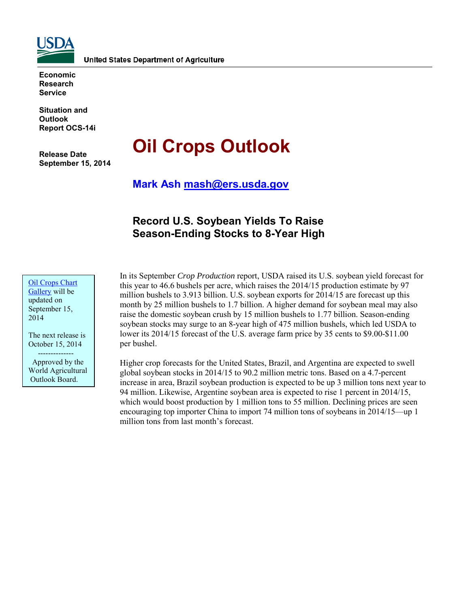

**Economic Research Service**

**Situation and Outlook Report OCS-14i**

**Release Date September 15, 2014**

# **Oil Crops Outlook**

**Mark Ash [mash@ers.usda.gov](mailto:mash@ers.usda.gov)**

# **Record U.S. Soybean Yields To Raise Season-Ending Stocks to 8-Year High**

[Oil Crops](http://www.ers.usda.gov/data-products/oil-crops-chart-gallery.aspx) Chart [Gallery](http://www.ers.usda.gov/data-products/oil-crops-chart-gallery.aspx) will be updated on September 15, 2014

The next release is October 15, 2014

--------------

 Approved by the World Agricultural Outlook Board.

In its September *Crop Production* report, USDA raised its U.S. soybean yield forecast for this year to 46.6 bushels per acre, which raises the 2014/15 production estimate by 97 million bushels to 3.913 billion. U.S. soybean exports for 2014/15 are forecast up this month by 25 million bushels to 1.7 billion. A higher demand for soybean meal may also raise the domestic soybean crush by 15 million bushels to 1.77 billion. Season-ending soybean stocks may surge to an 8-year high of 475 million bushels, which led USDA to lower its 2014/15 forecast of the U.S. average farm price by 35 cents to \$9.00-\$11.00 per bushel.

Higher crop forecasts for the United States, Brazil, and Argentina are expected to swell global soybean stocks in 2014/15 to 90.2 million metric tons. Based on a 4.7-percent increase in area, Brazil soybean production is expected to be up 3 million tons next year to 94 million. Likewise, Argentine soybean area is expected to rise 1 percent in 2014/15, which would boost production by 1 million tons to 55 million. Declining prices are seen encouraging top importer China to import 74 million tons of soybeans in 2014/15—up 1 million tons from last month's forecast.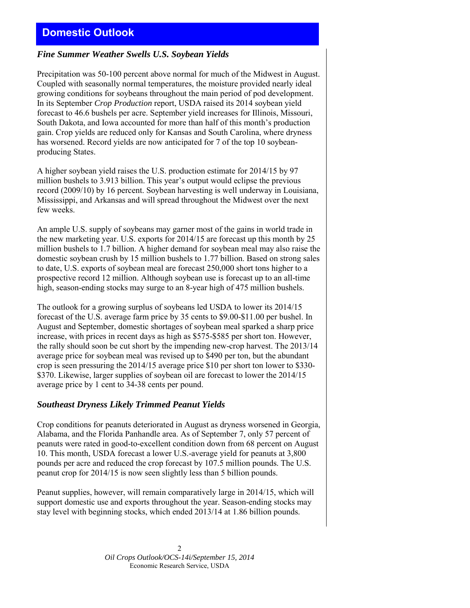# **Domestic Outlook**

### *Fine Summer Weather Swells U.S. Soybean Yields*

Precipitation was 50-100 percent above normal for much of the Midwest in August. Coupled with seasonally normal temperatures, the moisture provided nearly ideal growing conditions for soybeans throughout the main period of pod development. In its September *Crop Production* report, USDA raised its 2014 soybean yield forecast to 46.6 bushels per acre. September yield increases for Illinois, Missouri, South Dakota, and Iowa accounted for more than half of this month's production gain. Crop yields are reduced only for Kansas and South Carolina, where dryness has worsened. Record yields are now anticipated for 7 of the top 10 soybeanproducing States.

A higher soybean yield raises the U.S. production estimate for 2014/15 by 97 million bushels to 3.913 billion. This year's output would eclipse the previous record (2009/10) by 16 percent. Soybean harvesting is well underway in Louisiana, Mississippi, and Arkansas and will spread throughout the Midwest over the next few weeks.

An ample U.S. supply of soybeans may garner most of the gains in world trade in the new marketing year. U.S. exports for 2014/15 are forecast up this month by 25 million bushels to 1.7 billion. A higher demand for soybean meal may also raise the domestic soybean crush by 15 million bushels to 1.77 billion. Based on strong sales to date, U.S. exports of soybean meal are forecast 250,000 short tons higher to a prospective record 12 million. Although soybean use is forecast up to an all-time high, season-ending stocks may surge to an 8-year high of 475 million bushels.

The outlook for a growing surplus of soybeans led USDA to lower its 2014/15 forecast of the U.S. average farm price by 35 cents to \$9.00-\$11.00 per bushel. In August and September, domestic shortages of soybean meal sparked a sharp price increase, with prices in recent days as high as \$575-\$585 per short ton. However, the rally should soon be cut short by the impending new-crop harvest. The 2013/14 average price for soybean meal was revised up to \$490 per ton, but the abundant crop is seen pressuring the 2014/15 average price \$10 per short ton lower to \$330- \$370. Likewise, larger supplies of soybean oil are forecast to lower the 2014/15 average price by 1 cent to 34-38 cents per pound.

#### *Southeast Dryness Likely Trimmed Peanut Yields*

Crop conditions for peanuts deteriorated in August as dryness worsened in Georgia, Alabama, and the Florida Panhandle area. As of September 7, only 57 percent of peanuts were rated in good-to-excellent condition down from 68 percent on August 10. This month, USDA forecast a lower U.S.-average yield for peanuts at 3,800 pounds per acre and reduced the crop forecast by 107.5 million pounds. The U.S. peanut crop for 2014/15 is now seen slightly less than 5 billion pounds.

Peanut supplies, however, will remain comparatively large in 2014/15, which will support domestic use and exports throughout the year. Season-ending stocks may stay level with beginning stocks, which ended 2013/14 at 1.86 billion pounds.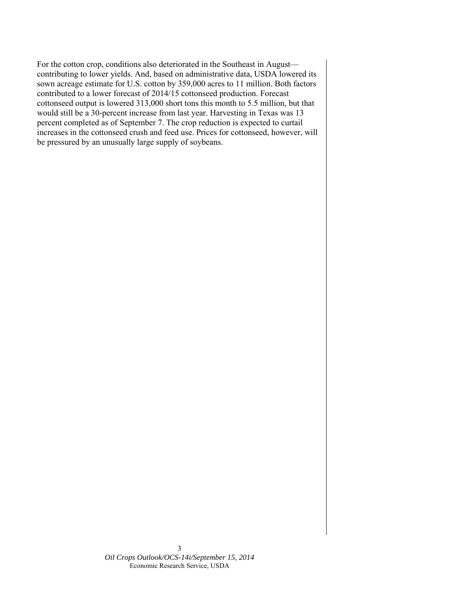For the cotton crop, conditions also deteriorated in the Southeast in August contributing to lower yields. And, based on administrative data, USDA lowered its sown acreage estimate for U.S. cotton by 359,000 acres to 11 million. Both factors contributed to a lower forecast of 2014/15 cottonseed production. Forecast cottonseed output is lowered 313,000 short tons this month to 5.5 million, but that would still be a 30-percent increase from last year. Harvesting in Texas was 13 percent completed as of September 7. The crop reduction is expected to curtail increases in the cottonseed crush and feed use. Prices for cottonseed, however, will be pressured by an unusually large supply of soybeans.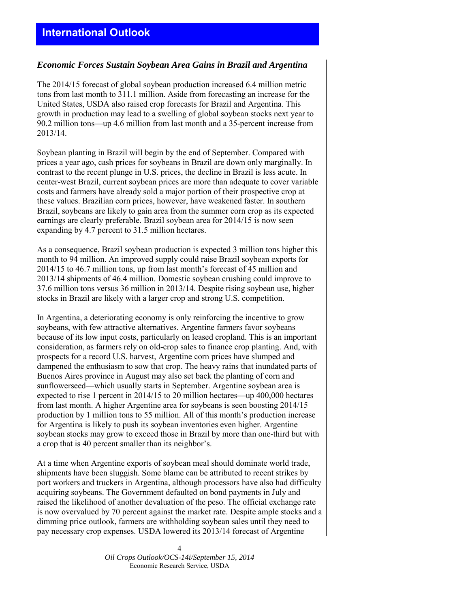## *Economic Forces Sustain Soybean Area Gains in Brazil and Argentina*

The 2014/15 forecast of global soybean production increased 6.4 million metric tons from last month to 311.1 million. Aside from forecasting an increase for the United States, USDA also raised crop forecasts for Brazil and Argentina. This growth in production may lead to a swelling of global soybean stocks next year to 90.2 million tons—up 4.6 million from last month and a 35-percent increase from 2013/14.

Soybean planting in Brazil will begin by the end of September. Compared with prices a year ago, cash prices for soybeans in Brazil are down only marginally. In contrast to the recent plunge in U.S. prices, the decline in Brazil is less acute. In center-west Brazil, current soybean prices are more than adequate to cover variable costs and farmers have already sold a major portion of their prospective crop at these values. Brazilian corn prices, however, have weakened faster. In southern Brazil, soybeans are likely to gain area from the summer corn crop as its expected earnings are clearly preferable. Brazil soybean area for 2014/15 is now seen expanding by 4.7 percent to 31.5 million hectares.

As a consequence, Brazil soybean production is expected 3 million tons higher this month to 94 million. An improved supply could raise Brazil soybean exports for 2014/15 to 46.7 million tons, up from last month's forecast of 45 million and 2013/14 shipments of 46.4 million. Domestic soybean crushing could improve to 37.6 million tons versus 36 million in 2013/14. Despite rising soybean use, higher stocks in Brazil are likely with a larger crop and strong U.S. competition.

In Argentina, a deteriorating economy is only reinforcing the incentive to grow soybeans, with few attractive alternatives. Argentine farmers favor soybeans because of its low input costs, particularly on leased cropland. This is an important consideration, as farmers rely on old-crop sales to finance crop planting. And, with prospects for a record U.S. harvest, Argentine corn prices have slumped and dampened the enthusiasm to sow that crop. The heavy rains that inundated parts of Buenos Aires province in August may also set back the planting of corn and sunflowerseed—which usually starts in September. Argentine soybean area is expected to rise 1 percent in 2014/15 to 20 million hectares—up 400,000 hectares from last month. A higher Argentine area for soybeans is seen boosting 2014/15 production by 1 million tons to 55 million. All of this month's production increase for Argentina is likely to push its soybean inventories even higher. Argentine soybean stocks may grow to exceed those in Brazil by more than one-third but with a crop that is 40 percent smaller than its neighbor's.

At a time when Argentine exports of soybean meal should dominate world trade, shipments have been sluggish. Some blame can be attributed to recent strikes by port workers and truckers in Argentina, although processors have also had difficulty acquiring soybeans. The Government defaulted on bond payments in July and raised the likelihood of another devaluation of the peso. The official exchange rate is now overvalued by 70 percent against the market rate. Despite ample stocks and a dimming price outlook, farmers are withholding soybean sales until they need to pay necessary crop expenses. USDA lowered its 2013/14 forecast of Argentine

> 4 *Oil Crops Outlook/OCS-14i/September 15, 2014* Economic Research Service, USDA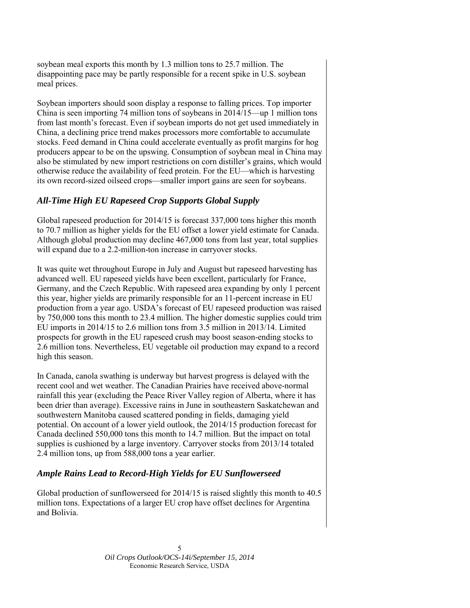soybean meal exports this month by 1.3 million tons to 25.7 million. The disappointing pace may be partly responsible for a recent spike in U.S. soybean meal prices.

Soybean importers should soon display a response to falling prices. Top importer China is seen importing 74 million tons of soybeans in 2014/15—up 1 million tons from last month's forecast. Even if soybean imports do not get used immediately in China, a declining price trend makes processors more comfortable to accumulate stocks. Feed demand in China could accelerate eventually as profit margins for hog producers appear to be on the upswing. Consumption of soybean meal in China may also be stimulated by new import restrictions on corn distiller's grains, which would otherwise reduce the availability of feed protein. For the EU—which is harvesting its own record-sized oilseed crops—smaller import gains are seen for soybeans.

## *All-Time High EU Rapeseed Crop Supports Global Supply*

Global rapeseed production for 2014/15 is forecast 337,000 tons higher this month to 70.7 million as higher yields for the EU offset a lower yield estimate for Canada. Although global production may decline 467,000 tons from last year, total supplies will expand due to a 2.2-million-ton increase in carryover stocks.

It was quite wet throughout Europe in July and August but rapeseed harvesting has advanced well. EU rapeseed yields have been excellent, particularly for France, Germany, and the Czech Republic. With rapeseed area expanding by only 1 percent this year, higher yields are primarily responsible for an 11-percent increase in EU production from a year ago. USDA's forecast of EU rapeseed production was raised by 750,000 tons this month to 23.4 million. The higher domestic supplies could trim EU imports in 2014/15 to 2.6 million tons from 3.5 million in 2013/14. Limited prospects for growth in the EU rapeseed crush may boost season-ending stocks to 2.6 million tons. Nevertheless, EU vegetable oil production may expand to a record high this season.

In Canada, canola swathing is underway but harvest progress is delayed with the recent cool and wet weather. The Canadian Prairies have received above-normal rainfall this year (excluding the Peace River Valley region of Alberta, where it has been drier than average). Excessive rains in June in southeastern Saskatchewan and southwestern Manitoba caused scattered ponding in fields, damaging yield potential. On account of a lower yield outlook, the 2014/15 production forecast for Canada declined 550,000 tons this month to 14.7 million. But the impact on total supplies is cushioned by a large inventory. Carryover stocks from 2013/14 totaled 2.4 million tons, up from 588,000 tons a year earlier.

## *Ample Rains Lead to Record-High Yields for EU Sunflowerseed*

Global production of sunflowerseed for 2014/15 is raised slightly this month to 40.5 million tons. Expectations of a larger EU crop have offset declines for Argentina and Bolivia.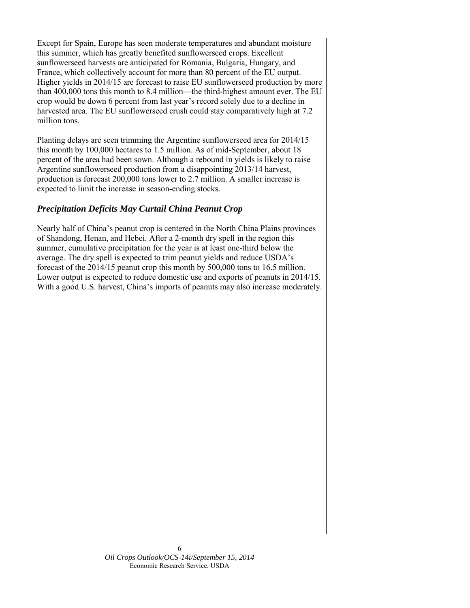Except for Spain, Europe has seen moderate temperatures and abundant moisture this summer, which has greatly benefited sunflowerseed crops. Excellent sunflowerseed harvests are anticipated for Romania, Bulgaria, Hungary, and France, which collectively account for more than 80 percent of the EU output. Higher yields in 2014/15 are forecast to raise EU sunflowerseed production by more than 400,000 tons this month to 8.4 million—the third-highest amount ever. The EU crop would be down 6 percent from last year's record solely due to a decline in harvested area. The EU sunflowerseed crush could stay comparatively high at 7.2 million tons.

Planting delays are seen trimming the Argentine sunflowerseed area for 2014/15 this month by 100,000 hectares to 1.5 million. As of mid-September, about 18 percent of the area had been sown. Although a rebound in yields is likely to raise Argentine sunflowerseed production from a disappointing 2013/14 harvest, production is forecast 200,000 tons lower to 2.7 million. A smaller increase is expected to limit the increase in season-ending stocks.

## *Precipitation Deficits May Curtail China Peanut Crop*

Nearly half of China's peanut crop is centered in the North China Plains provinces of Shandong, Henan, and Hebei. After a 2-month dry spell in the region this summer, cumulative precipitation for the year is at least one-third below the average. The dry spell is expected to trim peanut yields and reduce USDA's forecast of the 2014/15 peanut crop this month by 500,000 tons to 16.5 million. Lower output is expected to reduce domestic use and exports of peanuts in 2014/15. With a good U.S. harvest, China's imports of peanuts may also increase moderately.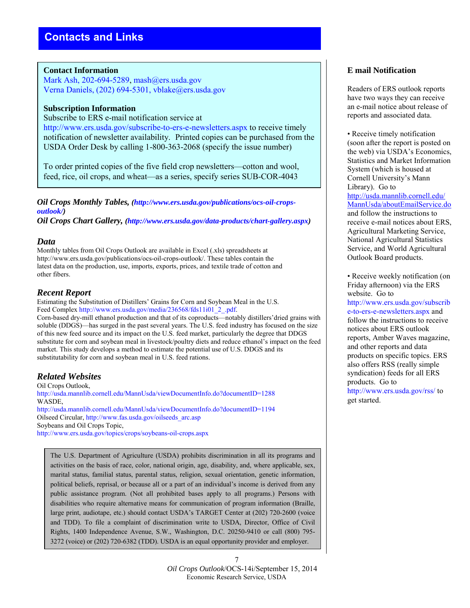#### **Contact Information**

Mark Ash, 202-694-5289, mash@ers.usda.gov Verna Daniels, (202) 694-5301, vblake@ers.usda.gov

#### **Subscription Information**

Subscribe to ERS e-mail notification service at http://www.ers.usda.gov/subscribe-to-ers-e-newsletters.aspx to receive timely notification of newsletter availability. Printed copies can be purchased from the USDA Order Desk by calling 1-800-363-2068 (specify the issue number)

To order printed copies of the five field crop newsletters—cotton and wool, feed, rice, oil crops, and wheat—as a series, specify series SUB-COR-4043

*Oil Crops Monthly Tables, (http://www.ers.usda.gov/publications/ocs-oil-cropsoutlook/)* 

*Oil Crops Chart Gallery, (http://www.ers.usda.gov/data-products/chart-gallery.aspx)* 

#### *Data*

Monthly tables from Oil Crops Outlook are available in Excel (.xls) spreadsheets at http://www.ers.usda.gov/publications/ocs-oil-crops-outlook/. These tables contain the latest data on the production, use, imports, exports, prices, and textile trade of cotton and other fibers.

#### *Recent Report*

Estimating the Substitution of Distillers' Grains for Corn and Soybean Meal in the U.S. Feed Complex http://www.ers.usda.gov/media/236568/fds11i01\_2\_.pdf.

Corn-based dry-mill ethanol production and that of its coproducts—notably distillers'dried grains with soluble (DDGS)—has surged in the past several years. The U.S. feed industry has focused on the size of this new feed source and its impact on the U.S. feed market, particularly the degree that DDGS substitute for corn and soybean meal in livestock/poultry diets and reduce ethanol's impact on the feed market. This study develops a method to estimate the potential use of U.S. DDGS and its substitutability for corn and soybean meal in U.S. feed rations.

## *Related Websites*

Oil Crops Outlook, http://usda.mannlib.cornell.edu/MannUsda/viewDocumentInfo.do?documentID=1288 WASDE, http://usda.mannlib.cornell.edu/MannUsda/viewDocumentInfo.do?documentID=1194 Oilseed Circular, http://www.fas.usda.gov/oilseeds\_arc.asp Soybeans and Oil Crops Topic, http://www.ers.usda.gov/topics/crops/soybeans-oil-crops.aspx

The U.S. Department of Agriculture (USDA) prohibits discrimination in all its programs and activities on the basis of race, color, national origin, age, disability, and, where applicable, sex, marital status, familial status, parental status, religion, sexual orientation, genetic information, political beliefs, reprisal, or because all or a part of an individual's income is derived from any public assistance program. (Not all prohibited bases apply to all programs.) Persons with disabilities who require alternative means for communication of program information (Braille, large print, audiotape, etc.) should contact USDA's TARGET Center at (202) 720-2600 (voice and TDD). To file a complaint of discrimination write to USDA, Director, Office of Civil Rights, 1400 Independence Avenue, S.W., Washington, D.C. 20250-9410 or call (800) 795- 3272 (voice) or (202) 720-6382 (TDD). USDA is an equal opportunity provider and employer.

## **E mail Notification**

Readers of ERS outlook reports have two ways they can receive an e-mail notice about release of reports and associated data.

• Receive timely notification (soon after the report is posted on the web) via USDA's Economics, Statistics and Market Information System (which is housed at Cornell University's Mann Library). Go to [http://usda.mannlib.cornell.edu/](http://usda.mannlib.cornell.edu/MannUsda/aboutEmailService.do) [MannUsda/aboutEmailService.do](http://usda.mannlib.cornell.edu/MannUsda/aboutEmailService.do) and follow the instructions to receive e-mail notices about ERS, Agricultural Marketing Service, National Agricultural Statistics Service, and World Agricultural Outlook Board products.

• Receive weekly notification (on Friday afternoon) via the ERS website. Go to http://www.ers.usda.gov/subscrib e-to-ers-e-newsletters.aspx and follow the instructions to receive notices about ERS outlook reports, Amber Waves magazine, and other reports and data products on specific topics. ERS also offers RSS (really simple syndication) feeds for all ERS products. Go to http://www.ers.usda.gov/rss/ to get started.

7 *Oil Crops Outlook*/OCS-14i/September 15, 2014 Economic Research Service, USDA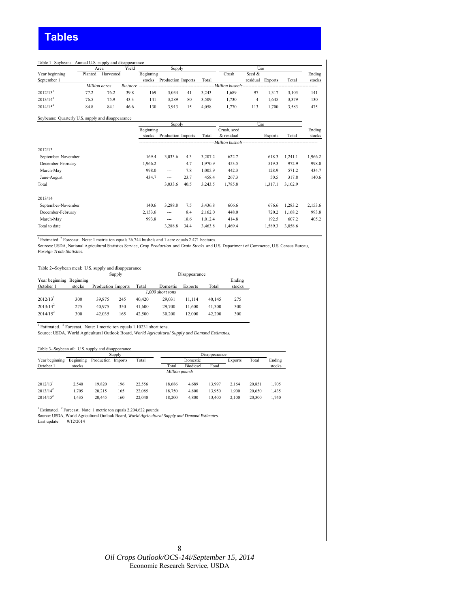#### Table 1--Soybeans: Annual U.S. supply and disappearance Yield Year beginning Planted Harvested Beginning Beginning Crush Seed & Ending<br>September 1 Seed Beginning September 1 Seed & Ending Crush Seed & Ending September 1 Seed & Ending September 1 September 1 stocks Production Imports Total residual Exports Total stocks *Bu./acre --------------------------------------------------Million bushels--------------------------------------------------* 2012/13<sup>1</sup> 77.2 76.2 39.8 169 3,034 41 3,243 1,689 97 1,317 3,103 141  $2013/14^2$   $76.5$   $75.9$   $43.3$   $141$   $3,289$   $80$   $3,509$   $1,730$   $4$   $1,645$   $3,379$   $130$  $2014/15^2$  84.8 84.1 46.6 130 3,913 15 4,058 1,770 113 1,700 3,583 475 *Million acres* Area Supply Use

#### Soybeans: Quarterly U.S. supply and disappearance

|                    |           | Supply             |      |         |                    | Use            |         |         |
|--------------------|-----------|--------------------|------|---------|--------------------|----------------|---------|---------|
|                    | Beginning |                    |      |         | Crush, seed        |                |         | Ending  |
|                    | stocks    | Production Imports |      | Total   | & residual         | <b>Exports</b> | Total   | stocks  |
|                    |           |                    |      |         | -Million bushels-- |                |         |         |
| 2012/13            |           |                    |      |         |                    |                |         |         |
| September-November | 169.4     | 3,033.6            | 4.3  | 3,207.2 | 622.7              | 618.3          | 1.241.1 | 1,966.2 |
| December-February  | 1,966.2   | $\overline{a}$     | 4.7  | 1,970.9 | 453.5              | 519.3          | 972.9   | 998.0   |
| March-May          | 998.0     | $\overline{a}$     | 7.8  | 1,005.9 | 442.3              | 128.9          | 571.2   | 434.7   |
| June-August        | 434.7     | $---$              | 23.7 | 458.4   | 267.3              | 50.5           | 317.8   | 140.6   |
| Total              |           | 3,033.6            | 40.5 | 3,243.5 | 1,785.8            | 1,317.1        | 3,102.9 |         |
| 2013/14            |           |                    |      |         |                    |                |         |         |
| September-November | 140.6     | 3,288.8            | 7.5  | 3,436.8 | 606.6              | 676.6          | 1,283.2 | 2,153.6 |
| December-February  | 2,153.6   | $---$              | 8.4  | 2,162.0 | 448.0              | 720.2          | 1,168.2 | 993.8   |
| March-May          | 993.8     | $---$              | 18.6 | 1,012.4 | 414.8              | 192.5          | 607.2   | 405.2   |
| Total to date      |           | 3,288.8            | 34.4 | 3,463.8 | 1,469.4            | 1,589.3        | 3,058.6 |         |

<sup>1</sup> Estimated. <sup>2</sup> Forecast. Note: 1 metric ton equals 36.744 bushels and 1 acre equals 2.471 hectares.<br>Sources: USDA, National Agricultural Statistics Service, Crop Production and Grain Stocks and U.S. Department of Comme *Foreign Trade Statistics.*

#### Table 2--Soybean meal: U.S. supply and disappearance

|                                       |        |                    | Supply |        |                  | Disappearance  |        |                  |
|---------------------------------------|--------|--------------------|--------|--------|------------------|----------------|--------|------------------|
| Year beginning Beginning<br>October 1 | stocks | Production Imports |        | Total  | Domestic         | <b>Exports</b> | Total  | Ending<br>stocks |
|                                       |        |                    |        |        | 1.000 short tons |                |        |                  |
| $2012/13$ <sup>1</sup>                | 300    | 39.875             | 245    | 40 420 | 29.031           | 11.114         | 40.145 | 275              |
| $2013/14^2$                           | 275    | 40.975             | 350    | 41.600 | 29.700           | 11.600         | 41.300 | 300              |
| $2014/15^2$                           | 300    | 42.035             | 165    | 42.500 | 30.200           | 12.000         | 42.200 | 300              |

<sup>1</sup> Estimated. <sup>2</sup> Forecast. Note: 1 metric ton equals 1.10231 short tons.<br>Source: USDA, World Agricultural Outlook Board, *World Agricultural Supply and Demand Estimates*.

#### Table 3--Soybean oil: U.S. supply and disappearance

|                        |           |                    | Supply |        |                |                  | Disappearance |         |        |        |
|------------------------|-----------|--------------------|--------|--------|----------------|------------------|---------------|---------|--------|--------|
| Year beginning         | Beginning | Production Imports |        | Total  |                | Domestic         |               | Exports | Total  | Ending |
| October 1              | stocks    |                    |        |        | Total          | <b>Biodiesel</b> | Food          |         |        | stocks |
|                        |           |                    |        |        | Million pounds |                  |               |         |        |        |
| $2012/13$ <sup>1</sup> | 2.540     | 19.820             | 196    | 22.556 | 18.686         | 4.689            | 13.997        | 2.164   | 20.851 | 1.705  |
| $2013/14^2$            | 1.705     | 20.215             | 165    | 22.085 | 18.750         | 4.800            | 13.950        | 1.900   | 20.650 | 1.435  |
| $2014/15^2$            | 1.435     | 20.445             | 160    | 22.040 | 18.200         | 4.800            | 13.400        | 2.100   | 20.300 | 1.740  |

<sup>1</sup> Estimated. <sup>2</sup> Forecast. Note: 1 metric ton equals 2,204.622 pounds.<br>Source: USDA, World Agricultural Outlook Board, *World Agricultural Supply and Demand Estimates*.

Last update: 9/12/2014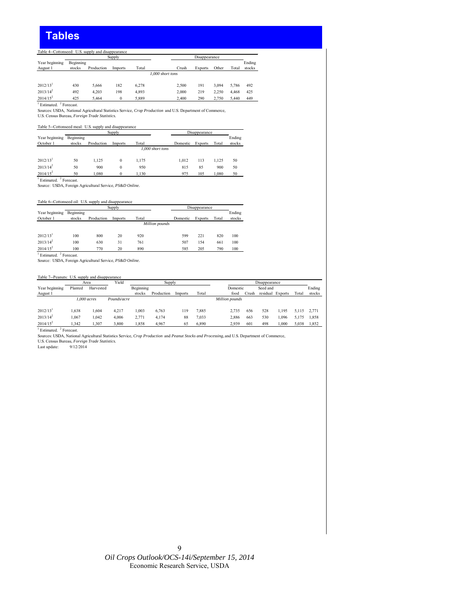# **Tables**

#### Table 4--Cottonseed: U.S. supply and disappearance

|                                               |           |            | Supply  |       |                                                                                                           | Disappearance  |       |       |        |
|-----------------------------------------------|-----------|------------|---------|-------|-----------------------------------------------------------------------------------------------------------|----------------|-------|-------|--------|
| Year beginning                                | Beginning |            |         |       |                                                                                                           |                |       |       | Ending |
| August 1                                      | stocks    | Production | Imports | Total | Crush                                                                                                     | <b>Exports</b> | Other | Total | stocks |
|                                               |           |            |         |       | 1,000 short tons                                                                                          |                |       |       |        |
| 2012/13 <sup>1</sup>                          | 430       | 5.666      | 182     | 6,278 | 2,500                                                                                                     | 191            | 3,094 | 5,786 | 492    |
| $2013/14^2$                                   | 492       | 4.203      | 198     | 4,893 | 2.000                                                                                                     | 219            | 2.250 | 4.468 | 425    |
| $2014/15^2$                                   | 425       | 5.464      | 0       | 5,889 | 2.400                                                                                                     | 290            | 2.750 | 5,440 | 449    |
| $1$ Estimated. $2$ Forecast.                  |           |            |         |       |                                                                                                           |                |       |       |        |
|                                               |           |            |         |       | Sources: USDA, National Agricultural Statistics Service, Crop Production and U.S. Department of Commerce, |                |       |       |        |
| U.S. Census Bureau, Foreign Trade Statistics. |           |            |         |       |                                                                                                           |                |       |       |        |

#### Table 5--Cottonseed meal: U.S. supply and disappearance

|                                                          |           |            | Supply       |                  |          | Disappearance  |       |        |
|----------------------------------------------------------|-----------|------------|--------------|------------------|----------|----------------|-------|--------|
| Year beginning                                           | Beginning |            |              |                  |          |                |       | Ending |
| October 1                                                | stocks    | Production | Imports      | Total            | Domestic | <b>Exports</b> | Total | stocks |
|                                                          |           |            |              | 1,000 short tons |          |                |       |        |
| $2012/13$ <sup>1</sup>                                   | 50        | 1.125      | $\mathbf{0}$ | 1.175            | 1.012    | 113            | 1.125 | 50     |
| $2013/14^2$                                              | 50        | 900        | $\bf{0}$     | 950              | 815      | 85             | 900   | 50     |
| $2014/15^2$                                              | 50        | 1.080      | $\mathbf{0}$ | 1.130            | 975      | 105            | 1,080 | 50     |
| <sup>1</sup> Estimated. <sup>2</sup> Forecast.           |           |            |              |                  |          |                |       |        |
| Source: USDA, Foreign Agricultural Service, PS&D Online. |           |            |              |                  |          |                |       |        |

Table 6--Cottonseed oil: U.S. supply and disappearance

|                        |           |            | Supply  |                |          | Disappearance  |       |        |
|------------------------|-----------|------------|---------|----------------|----------|----------------|-------|--------|
| Year beginning         | Beginning |            |         |                |          |                |       | Ending |
| October 1              | stocks    | Production | Imports | Total          | Domestic | <b>Exports</b> | Total | stocks |
|                        |           |            |         | Million pounds |          |                |       |        |
|                        |           |            |         |                |          |                |       |        |
| $2012/13$ <sup>1</sup> | 100       | 800        | 20      | 920            | 599      | 221            | 820   | 100    |
| $2013/14^2$            | 100       | 630        | 31      | 761            | 507      | 154            | 661   | 100    |
| $2014/15^2$<br>$\sim$  | 100       | 770        | 20      | 890            | 585      | 205            | 790   | 100    |

<sup>1</sup> Estimated. <sup>2</sup> Forecast.<br>Source: USDA, Foreign Agricultural Service, *PS&D Online.* 

#### Table 7--Peanuts: U.S. supply and disappearance

|                        |         | Area          | Yield       |           | Supply     |         |       |                |           | Disappearance |         |           |        |
|------------------------|---------|---------------|-------------|-----------|------------|---------|-------|----------------|-----------|---------------|---------|-----------|--------|
| Year beginning         | Planted | Harvested     |             | Beginning |            |         |       | Domestic       |           | Seed and      |         |           | Ending |
| August 1               |         |               |             | stocks    | Production | Imports | Total | food           | <br>Crush | residual      | Exports | Total     | stocks |
|                        |         | $1.000$ acres | Pounds/acre |           |            |         |       | Million pounds |           |               |         |           |        |
|                        |         |               |             |           |            |         |       |                |           |               |         |           |        |
| $2012/13$ <sup>1</sup> | .638    | .604          | 4.217       | .003      | 6.763      | 119     | 7.885 | 2.735          | 656       | 528           | .195    | 5.115     | 2.771  |
| $2013/14^2$            | .067    | 1.042         | 4.006       | 2.771     | 4.174      | 88      | 7,033 | 2.886          | 663       | 530           | .096    | 75<br>5.1 | 1.858  |
| $2014/15^2$            | .342    | .307          | 3.800       | .858      | 4.967      | 65      | 6.890 | 2.939          | 601       | 498           | .000    | 5.038     | 1.852  |

<sup>1</sup> Estimated. <sup>2</sup> Forecast.

Sources: USDA, National Agricultural Statistics Service*, Crop Production and Peanut Stocks and Processing,* and U.S. Department of Commerce*,*<br>U.S. Census Bureau, *Foreign Trade Statistics.*<br>Last update: 9/12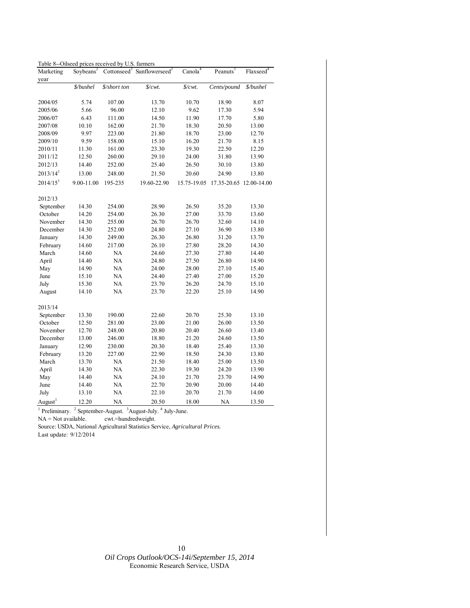| Table 8--Oilseed prices received by U.S. farmers |  |  |
|--------------------------------------------------|--|--|
|--------------------------------------------------|--|--|

| Marketing                    | Soybeans <sup>2</sup> |              | Cottonseed <sup>3</sup> Sunflowerseed <sup>2</sup> | Canola <sup>4</sup>       | Peanuts <sup>3</sup>    | Flaxseed <sup>4</sup> |
|------------------------------|-----------------------|--------------|----------------------------------------------------|---------------------------|-------------------------|-----------------------|
| year                         |                       |              |                                                    |                           |                         |                       |
|                              | \$/bushel             | \$/short ton | $\frac{C}{V}$                                      | $\sqrt{$}$ / $\sqrt{$}$ . | Cents/pound             | \$/bushel             |
| 2004/05                      | 5.74                  | 107.00       | 13.70                                              | 10.70                     | 18.90                   | 8.07                  |
| 2005/06                      | 5.66                  | 96.00        | 12.10                                              | 9.62                      | 17.30                   | 5.94                  |
| 2006/07                      | 6.43                  | 111.00       | 14.50                                              | 11.90                     | 17.70                   | 5.80                  |
| 2007/08                      | 10.10                 | 162.00       | 21.70                                              | 18.30                     | 20.50                   | 13.00                 |
| 2008/09                      | 9.97                  | 223.00       | 21.80                                              | 18.70                     | 23.00                   | 12.70                 |
| 2009/10                      | 9.59                  | 158.00       | 15.10                                              | 16.20                     | 21.70                   | 8.15                  |
| 2010/11                      | 11.30                 | 161.00       | 23.30                                              | 19.30                     | 22.50                   | 12.20                 |
| 2011/12                      | 12.50                 | 260.00       | 29.10                                              | 24.00                     | 31.80                   | 13.90                 |
| 2012/13                      | 14.40                 | 252.00       | 25.40                                              | 26.50                     | 30.10                   | 13.80                 |
| $2013/14^{1}$                | 13.00                 | 248.00       | 21.50                                              | 20.60                     | 24.90                   | 13.80                 |
| $2014/15$ <sup>1</sup>       | 9.00-11.00            | 195-235      | 19.60-22.90                                        | 15.75-19.05               | 17.35-20.65 12.00-14.00 |                       |
| 2012/13                      |                       |              |                                                    |                           |                         |                       |
| September                    | 14.30                 | 254.00       | 28.90                                              | 26.50                     | 35.20                   | 13.30                 |
| October                      | 14.20                 | 254.00       | 26.30                                              | 27.00                     | 33.70                   | 13.60                 |
| November                     | 14.30                 | 255.00       | 26.70                                              | 26.70                     | 32.60                   | 14.10                 |
| December                     | 14.30                 | 252.00       | 24.80                                              | 27.10                     | 36.90                   | 13.80                 |
| January                      | 14.30                 | 249.00       | 26.30                                              | 26.80                     | 31.20                   | 13.70                 |
| February                     | 14.60                 | 217.00       | 26.10                                              | 27.80                     | 28.20                   | 14.30                 |
| March                        | 14.60                 | NA           | 24.60                                              | 27.30                     | 27.80                   | 14.40                 |
| April                        | 14.40                 | NA           | 24.80                                              | 27.50                     | 26.80                   | 14.90                 |
| May                          | 14.90                 | NA           | 24.00                                              | 28.00                     | 27.10                   | 15.40                 |
| June                         | 15.10                 | NA           | 24.40                                              | 27.40                     | 27.00                   | 15.20                 |
| July                         | 15.30                 | NA           | 23.70                                              | 26.20                     | 24.70                   | 15.10                 |
| August                       | 14.10                 | NA           | 23.70                                              | 22.20                     | 25.10                   | 14.90                 |
| 2013/14                      |                       |              |                                                    |                           |                         |                       |
| September                    | 13.30                 | 190.00       | 22.60                                              | 20.70                     | 25.30                   | 13.10                 |
| October                      | 12.50                 | 281.00       | 23.00                                              | 21.00                     | 26.00                   | 13.50                 |
| November                     | 12.70                 | 248.00       | 20.80                                              | 20.40                     | 26.60                   | 13.40                 |
| December                     | 13.00                 | 246.00       | 18.80                                              | 21.20                     | 24.60                   | 13.50                 |
| January                      | 12.90                 | 230.00       | 20.30                                              | 18.40                     | 25.40                   | 13.30                 |
| February                     | 13.20                 | 227.00       | 22.90                                              | 18.50                     | 24.30                   | 13.80                 |
| March                        | 13.70                 | NA           | 21.50                                              | 18.40                     | 25.00                   | 13.50                 |
| April                        | 14.30                 | NA           | 22.30                                              | 19.30                     | 24.20                   | 13.90                 |
| May                          | 14.40                 | NA           | 24.10                                              | 21.70                     | 23.70                   | 14.90                 |
| June                         | 14.40                 | NA           | 22.70                                              | 20.90                     | 20.00                   | 14.40                 |
| July                         | 13.10                 | <b>NA</b>    | 22.10                                              | 20.70                     | 21.70                   | 14.00                 |
| August <sup>1</sup>          | 12.20                 | <b>NA</b>    | 20.50                                              | 18.00                     | <b>NA</b>               | 13.50                 |
| $\mathbf{1}$<br>Preliminary. | $2$ September-August. |              | <sup>3</sup> August-July.<br>$4$ July-June.        |                           |                         |                       |

NA = Not available. cwt.=hundredweight.

Source: USDA, National Agricultural Statistics Service, *Agricultural Prices.*  Last update: 9/12/2014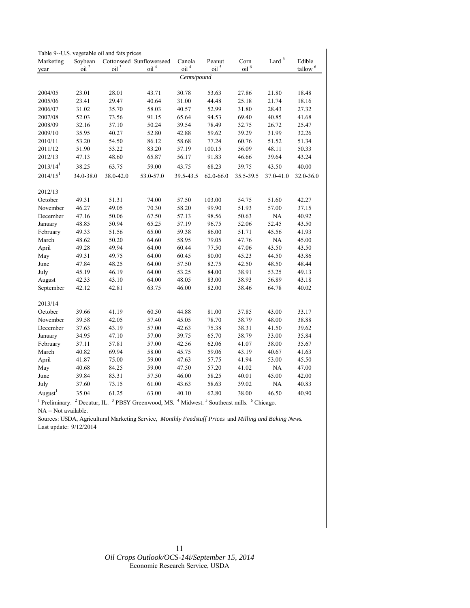| Corn<br>Edible<br>Soybean<br>Cottonseed Sunflowerseed<br>Canola<br>Peanut<br>Marketing<br>oil $^4\,$<br>$t$ allow <sup>6</sup><br>oil <sup>2</sup><br>oil <sup>3</sup><br>oil <sup>4</sup><br>oil <sup>5</sup><br>oil <sup>6</sup><br>year<br>Cents/pound<br>30.78<br>2004/05<br>23.01<br>28.01<br>43.71<br>53.63<br>27.86<br>21.80<br>18.48<br>23.41<br>31.00<br>25.18<br>2005/06<br>29.47<br>40.64<br>44.48<br>21.74<br>18.16<br>31.02<br>35.70<br>58.03<br>40.57<br>52.99<br>31.80<br>28.43<br>2006/07<br>27.32<br>2007/08<br>52.03<br>73.56<br>91.15<br>65.64<br>94.53<br>69.40<br>40.85<br>41.68<br>2008/09<br>32.16<br>37.10<br>39.54<br>78.49<br>32.75<br>26.72<br>25.47<br>50.24<br>35.95<br>42.88<br>39.29<br>31.99<br>2009/10<br>40.27<br>52.80<br>59.62<br>32.26<br>2010/11<br>53.20<br>54.50<br>86.12<br>58.68<br>77.24<br>60.76<br>51.52<br>51.34 |  | Table 9--U.S. vegetable oil and fats prices |  |  |                   |  |
|----------------------------------------------------------------------------------------------------------------------------------------------------------------------------------------------------------------------------------------------------------------------------------------------------------------------------------------------------------------------------------------------------------------------------------------------------------------------------------------------------------------------------------------------------------------------------------------------------------------------------------------------------------------------------------------------------------------------------------------------------------------------------------------------------------------------------------------------------------------|--|---------------------------------------------|--|--|-------------------|--|
|                                                                                                                                                                                                                                                                                                                                                                                                                                                                                                                                                                                                                                                                                                                                                                                                                                                                |  |                                             |  |  | Lard <sup>6</sup> |  |
|                                                                                                                                                                                                                                                                                                                                                                                                                                                                                                                                                                                                                                                                                                                                                                                                                                                                |  |                                             |  |  |                   |  |
|                                                                                                                                                                                                                                                                                                                                                                                                                                                                                                                                                                                                                                                                                                                                                                                                                                                                |  |                                             |  |  |                   |  |
|                                                                                                                                                                                                                                                                                                                                                                                                                                                                                                                                                                                                                                                                                                                                                                                                                                                                |  |                                             |  |  |                   |  |
|                                                                                                                                                                                                                                                                                                                                                                                                                                                                                                                                                                                                                                                                                                                                                                                                                                                                |  |                                             |  |  |                   |  |
|                                                                                                                                                                                                                                                                                                                                                                                                                                                                                                                                                                                                                                                                                                                                                                                                                                                                |  |                                             |  |  |                   |  |
|                                                                                                                                                                                                                                                                                                                                                                                                                                                                                                                                                                                                                                                                                                                                                                                                                                                                |  |                                             |  |  |                   |  |
|                                                                                                                                                                                                                                                                                                                                                                                                                                                                                                                                                                                                                                                                                                                                                                                                                                                                |  |                                             |  |  |                   |  |
|                                                                                                                                                                                                                                                                                                                                                                                                                                                                                                                                                                                                                                                                                                                                                                                                                                                                |  |                                             |  |  |                   |  |
|                                                                                                                                                                                                                                                                                                                                                                                                                                                                                                                                                                                                                                                                                                                                                                                                                                                                |  |                                             |  |  |                   |  |
|                                                                                                                                                                                                                                                                                                                                                                                                                                                                                                                                                                                                                                                                                                                                                                                                                                                                |  |                                             |  |  |                   |  |
| 56.09<br>2011/12<br>51.90<br>53.22<br>83.20<br>57.19<br>100.15<br>48.11<br>50.33                                                                                                                                                                                                                                                                                                                                                                                                                                                                                                                                                                                                                                                                                                                                                                               |  |                                             |  |  |                   |  |
| 2012/13<br>47.13<br>48.60<br>65.87<br>56.17<br>91.83<br>46.66<br>39.64<br>43.24                                                                                                                                                                                                                                                                                                                                                                                                                                                                                                                                                                                                                                                                                                                                                                                |  |                                             |  |  |                   |  |
| $2013/14^{1}$<br>38.25<br>59.00<br>43.75<br>68.23<br>39.75<br>63.75<br>43.50<br>40.00                                                                                                                                                                                                                                                                                                                                                                                                                                                                                                                                                                                                                                                                                                                                                                          |  |                                             |  |  |                   |  |
| $2014/15$ <sup>1</sup><br>34.0-38.0<br>38.0-42.0<br>53.0-57.0<br>39.5-43.5<br>62.0-66.0<br>35.5-39.5<br>37.0-41.0<br>32.0-36.0                                                                                                                                                                                                                                                                                                                                                                                                                                                                                                                                                                                                                                                                                                                                 |  |                                             |  |  |                   |  |
| 2012/13                                                                                                                                                                                                                                                                                                                                                                                                                                                                                                                                                                                                                                                                                                                                                                                                                                                        |  |                                             |  |  |                   |  |
| October<br>49.31<br>51.31<br>74.00<br>57.50<br>103.00<br>54.75<br>51.60<br>42.27                                                                                                                                                                                                                                                                                                                                                                                                                                                                                                                                                                                                                                                                                                                                                                               |  |                                             |  |  |                   |  |
| 46.27<br>49.05<br>58.20<br>99.90<br>51.93<br>57.00<br>37.15<br>November<br>70.30                                                                                                                                                                                                                                                                                                                                                                                                                                                                                                                                                                                                                                                                                                                                                                               |  |                                             |  |  |                   |  |
| 47.16<br>98.56<br>NA<br>40.92<br>December<br>50.06<br>67.50<br>57.13<br>50.63                                                                                                                                                                                                                                                                                                                                                                                                                                                                                                                                                                                                                                                                                                                                                                                  |  |                                             |  |  |                   |  |
| 57.19<br>96.75<br>48.85<br>50.94<br>65.25<br>52.06<br>52.45<br>43.50<br>January                                                                                                                                                                                                                                                                                                                                                                                                                                                                                                                                                                                                                                                                                                                                                                                |  |                                             |  |  |                   |  |
| 65.00<br>59.38<br>86.00<br>51.71<br>45.56<br>February<br>49.33<br>51.56<br>41.93                                                                                                                                                                                                                                                                                                                                                                                                                                                                                                                                                                                                                                                                                                                                                                               |  |                                             |  |  |                   |  |
| 50.20<br>58.95<br>NA<br>March<br>48.62<br>64.60<br>79.05<br>47.76<br>45.00                                                                                                                                                                                                                                                                                                                                                                                                                                                                                                                                                                                                                                                                                                                                                                                     |  |                                             |  |  |                   |  |
| 49.28<br>49.94<br>64.00<br>60.44<br>77.50<br>47.06<br>43.50<br>43.50<br>April                                                                                                                                                                                                                                                                                                                                                                                                                                                                                                                                                                                                                                                                                                                                                                                  |  |                                             |  |  |                   |  |
| 80.00<br>44.50<br>May<br>49.31<br>49.75<br>64.00<br>60.45<br>45.23<br>43.86                                                                                                                                                                                                                                                                                                                                                                                                                                                                                                                                                                                                                                                                                                                                                                                    |  |                                             |  |  |                   |  |
| 47.84<br>82.75<br>42.50<br>48.50<br>June<br>48.25<br>64.00<br>57.50<br>48.44                                                                                                                                                                                                                                                                                                                                                                                                                                                                                                                                                                                                                                                                                                                                                                                   |  |                                             |  |  |                   |  |
| July<br>45.19<br>46.19<br>64.00<br>53.25<br>84.00<br>38.91<br>53.25<br>49.13                                                                                                                                                                                                                                                                                                                                                                                                                                                                                                                                                                                                                                                                                                                                                                                   |  |                                             |  |  |                   |  |
| 42.33<br>48.05<br>83.00<br>38.93<br>56.89<br>August<br>43.10<br>64.00<br>43.18                                                                                                                                                                                                                                                                                                                                                                                                                                                                                                                                                                                                                                                                                                                                                                                 |  |                                             |  |  |                   |  |
| 42.12<br>42.81<br>46.00<br>82.00<br>38.46<br>September<br>63.75<br>64.78<br>40.02                                                                                                                                                                                                                                                                                                                                                                                                                                                                                                                                                                                                                                                                                                                                                                              |  |                                             |  |  |                   |  |
| 2013/14                                                                                                                                                                                                                                                                                                                                                                                                                                                                                                                                                                                                                                                                                                                                                                                                                                                        |  |                                             |  |  |                   |  |
| October<br>39.66<br>41.19<br>60.50<br>44.88<br>81.00<br>37.85<br>43.00<br>33.17                                                                                                                                                                                                                                                                                                                                                                                                                                                                                                                                                                                                                                                                                                                                                                                |  |                                             |  |  |                   |  |
| 38.79<br>39.58<br>42.05<br>57.40<br>45.05<br>78.70<br>48.00<br>38.88<br>November                                                                                                                                                                                                                                                                                                                                                                                                                                                                                                                                                                                                                                                                                                                                                                               |  |                                             |  |  |                   |  |
| December<br>37.63<br>43.19<br>57.00<br>42.63<br>75.38<br>38.31<br>41.50<br>39.62                                                                                                                                                                                                                                                                                                                                                                                                                                                                                                                                                                                                                                                                                                                                                                               |  |                                             |  |  |                   |  |
| 34.95<br>47.10<br>57.00<br>39.75<br>65.70<br>38.79<br>33.00<br>35.84<br>January                                                                                                                                                                                                                                                                                                                                                                                                                                                                                                                                                                                                                                                                                                                                                                                |  |                                             |  |  |                   |  |
| February<br>37.11<br>57.81<br>57.00<br>42.56<br>62.06<br>41.07<br>38.00<br>35.67                                                                                                                                                                                                                                                                                                                                                                                                                                                                                                                                                                                                                                                                                                                                                                               |  |                                             |  |  |                   |  |
| 40.82<br>March<br>69.94<br>58.00<br>45.75<br>59.06<br>43.19<br>40.67<br>41.63                                                                                                                                                                                                                                                                                                                                                                                                                                                                                                                                                                                                                                                                                                                                                                                  |  |                                             |  |  |                   |  |
| April<br>41.87<br>75.00<br>47.63<br>57.75<br>41.94<br>53.00<br>45.50<br>59.00                                                                                                                                                                                                                                                                                                                                                                                                                                                                                                                                                                                                                                                                                                                                                                                  |  |                                             |  |  |                   |  |
| May<br>40.68<br>84.25<br>59.00<br>47.50<br>57.20<br>41.02<br>NA<br>47.00                                                                                                                                                                                                                                                                                                                                                                                                                                                                                                                                                                                                                                                                                                                                                                                       |  |                                             |  |  |                   |  |
| June<br>39.84<br>83.31<br>57.50<br>46.00<br>58.25<br>40.01<br>45.00<br>42.00                                                                                                                                                                                                                                                                                                                                                                                                                                                                                                                                                                                                                                                                                                                                                                                   |  |                                             |  |  |                   |  |
| NA<br>July<br>37.60<br>73.15<br>61.00<br>58.63<br>39.02<br>43.63<br>40.83                                                                                                                                                                                                                                                                                                                                                                                                                                                                                                                                                                                                                                                                                                                                                                                      |  |                                             |  |  |                   |  |
| August <sup>1</sup><br>35.04<br>63.00<br>40.10<br>62.80<br>38.00<br>46.50<br>40.90<br>61.25                                                                                                                                                                                                                                                                                                                                                                                                                                                                                                                                                                                                                                                                                                                                                                    |  |                                             |  |  |                   |  |

<sup>1</sup> Preliminary. <sup>2</sup> Decatur, IL. <sup>3</sup> PBSY Greenwood, MS. <sup>4</sup> Midwest. <sup>5</sup> Southeast mills. <sup>6</sup> Chicago.  $NA = Not available.$ 

Sources: USDA, Agricultural Marketing Service, *Monthly Feedstuff Prices* and *Milling and Baking News.*  Last update: 9/12/2014